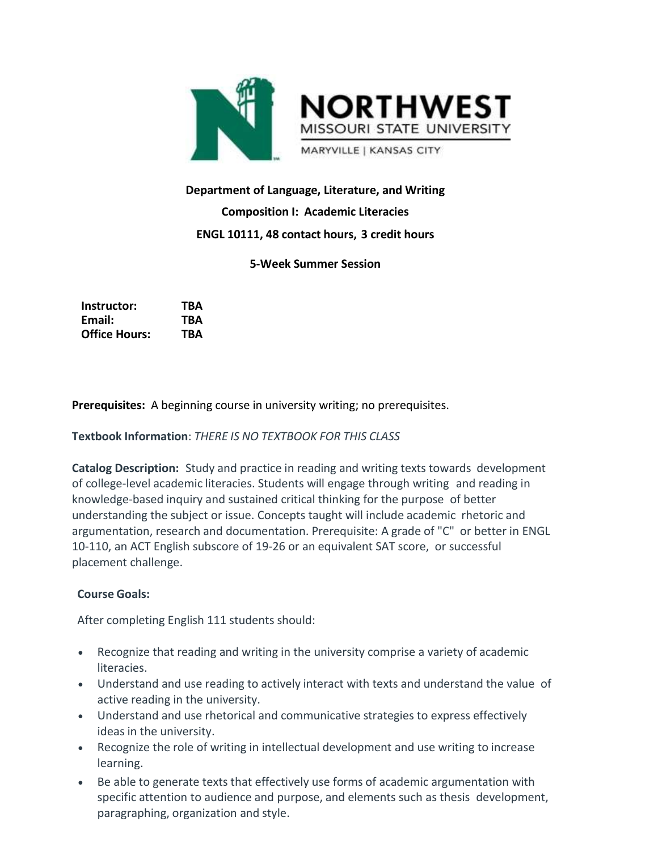

# **Department of Language, Literature, and Writing Composition I: Academic Literacies ENGL 10111, 48 contact hours, 3 credit hours**

## **5-Week Summer Session**

| Instructor:          | TBA |
|----------------------|-----|
| Email:               | TBA |
| <b>Office Hours:</b> | TBA |

**Prerequisites:** A beginning course in university writing; no prerequisites.

**Textbook Information**: *THERE IS NO TEXTBOOK FOR THIS CLASS*

**Catalog Description:** Study and practice in reading and writing texts towards development of college-level academic literacies. Students will engage through writing and reading in knowledge-based inquiry and sustained critical thinking for the purpose of better understanding the subject or issue. Concepts taught will include academic rhetoric and argumentation, research and documentation. Prerequisite: A grade of "C" or better in ENGL 10-110, an ACT English subscore of 19-26 or an equivalent SAT score, or successful placement challenge.

#### **Course Goals:**

After completing English 111 students should:

- Recognize that reading and writing in the university comprise a variety of academic literacies.
- Understand and use reading to actively interact with texts and understand the value of active reading in the university.
- Understand and use rhetorical and communicative strategies to express effectively ideas in the university.
- Recognize the role of writing in intellectual development and use writing to increase learning.
- Be able to generate texts that effectively use forms of academic argumentation with specific attention to audience and purpose, and elements such as thesis development, paragraphing, organization and style.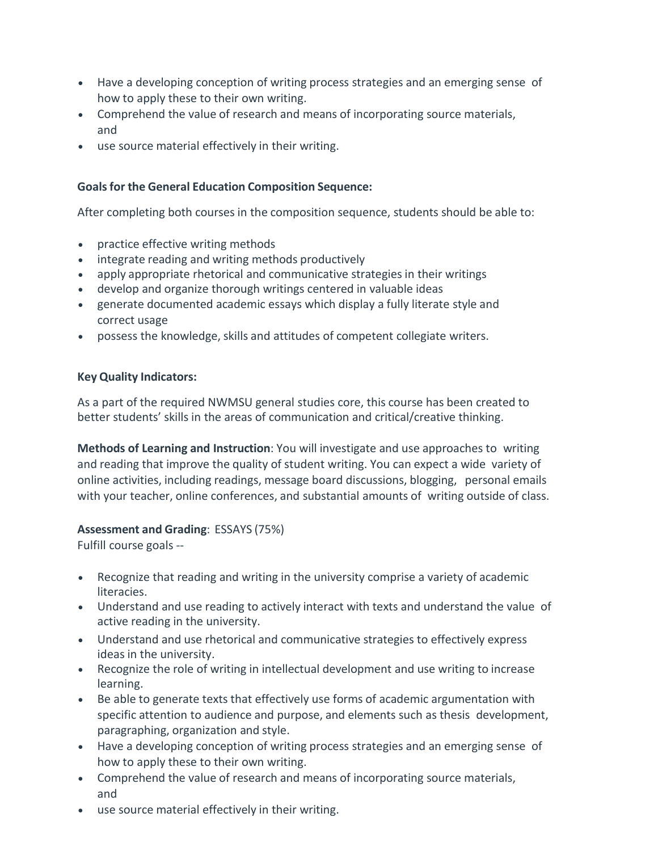- Have a developing conception of writing process strategies and an emerging sense of how to apply these to their own writing.
- Comprehend the value of research and means of incorporating source materials, and
- use source material effectively in their writing.

## **Goalsfor the General Education Composition Sequence:**

After completing both courses in the composition sequence, students should be able to:

- practice effective writing methods
- integrate reading and writing methods productively
- apply appropriate rhetorical and communicative strategies in their writings
- develop and organize thorough writings centered in valuable ideas
- generate documented academic essays which display a fully literate style and correct usage
- possess the knowledge, skills and attitudes of competent collegiate writers.

#### **Key Quality Indicators:**

As a part of the required NWMSU general studies core, this course has been created to better students' skills in the areas of communication and critical/creative thinking.

**Methods of Learning and Instruction**: You will investigate and use approaches to writing and reading that improve the quality of student writing. You can expect a wide variety of online activities, including readings, message board discussions, blogging, personal emails with your teacher, online conferences, and substantial amounts of writing outside of class.

#### **Assessment and Grading**: ESSAYS (75%)

Fulfill course goals --

- Recognize that reading and writing in the university comprise a variety of academic literacies.
- Understand and use reading to actively interact with texts and understand the value of active reading in the university.
- Understand and use rhetorical and communicative strategies to effectively express ideas in the university.
- Recognize the role of writing in intellectual development and use writing to increase learning.
- Be able to generate texts that effectively use forms of academic argumentation with specific attention to audience and purpose, and elements such as thesis development, paragraphing, organization and style.
- Have a developing conception of writing process strategies and an emerging sense of how to apply these to their own writing.
- Comprehend the value of research and means of incorporating source materials, and
- use source material effectively in their writing.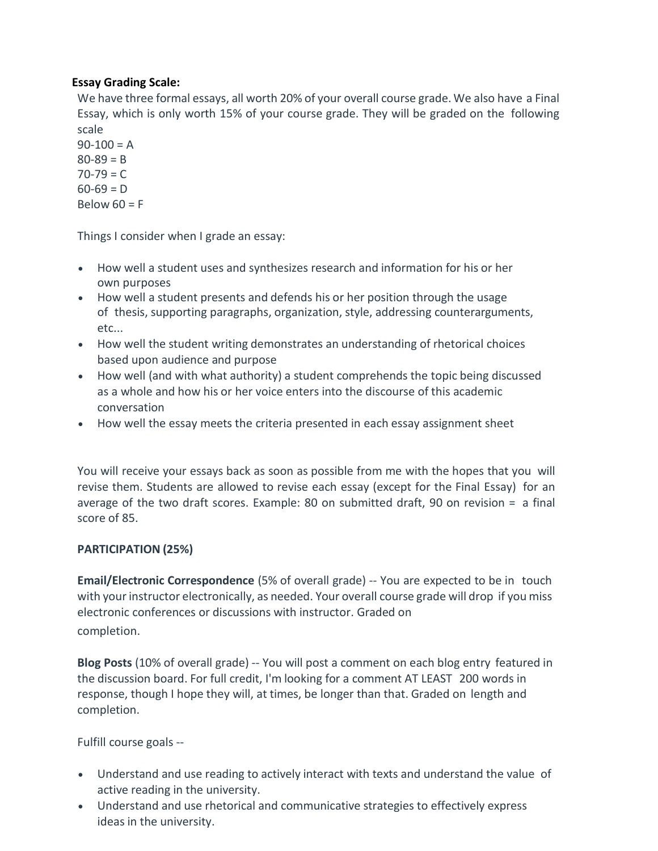# **Essay Grading Scale:**

We have three formal essays, all worth 20% of your overall course grade. We also have a Final Essay, which is only worth 15% of your course grade. They will be graded on the following scale

 $90-100 = A$  $80 - 89 = B$  $70 - 79 = C$  $60-69 = D$ Below  $60 = F$ 

Things I consider when I grade an essay:

- How well a student uses and synthesizes research and information for his or her own purposes
- How well a student presents and defends his or her position through the usage of thesis, supporting paragraphs, organization, style, addressing counterarguments, etc...
- How well the student writing demonstrates an understanding of rhetorical choices based upon audience and purpose
- How well (and with what authority) a student comprehends the topic being discussed as a whole and how his or her voice enters into the discourse of this academic conversation
- How well the essay meets the criteria presented in each essay assignment sheet

You will receive your essays back as soon as possible from me with the hopes that you will revise them. Students are allowed to revise each essay (except for the Final Essay) for an average of the two draft scores. Example: 80 on submitted draft, 90 on revision = a final score of 85.

# **PARTICIPATION (25%)**

**Email/Electronic Correspondence** (5% of overall grade) -- You are expected to be in touch with your instructor electronically, as needed. Your overall course grade will drop if you miss electronic conferences or discussions with instructor. Graded on completion.

**Blog Posts** (10% of overall grade) -- You will post a comment on each blog entry featured in the discussion board. For full credit, I'm looking for a comment AT LEAST 200 words in response, though I hope they will, at times, be longer than that. Graded on length and completion.

Fulfill course goals --

- Understand and use reading to actively interact with texts and understand the value of active reading in the university.
- Understand and use rhetorical and communicative strategies to effectively express ideas in the university.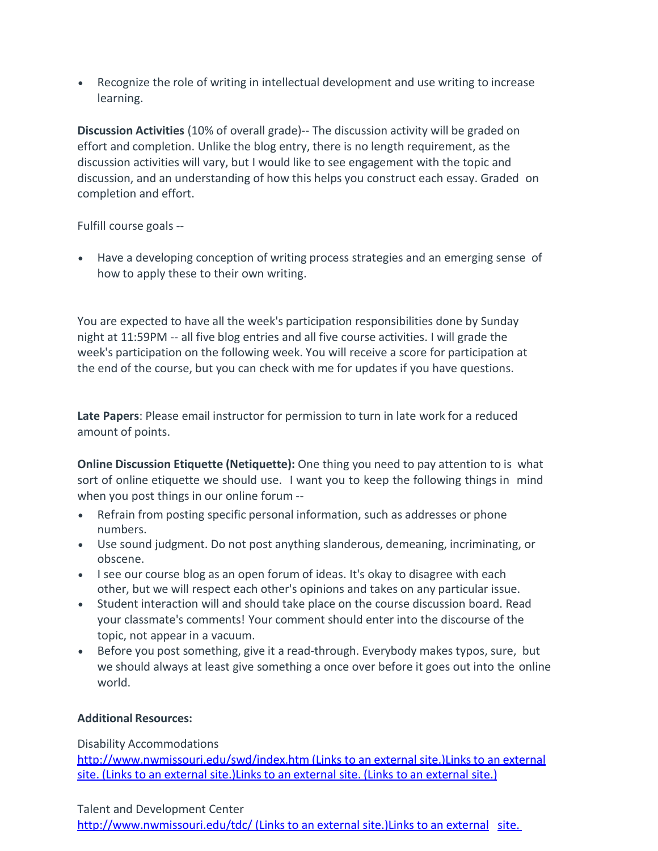Recognize the role of writing in intellectual development and use writing to increase learning.

**Discussion Activities** (10% of overall grade)-- The discussion activity will be graded on effort and completion. Unlike the blog entry, there is no length requirement, as the discussion activities will vary, but I would like to see engagement with the topic and discussion, and an understanding of how this helps you construct each essay. Graded on completion and effort.

Fulfill course goals --

 Have a developing conception of writing process strategies and an emerging sense of how to apply these to their own writing.

You are expected to have all the week's participation responsibilities done by Sunday night at 11:59PM -- all five blog entries and all five course activities. I will grade the week's participation on the following week. You will receive a score for participation at the end of the course, but you can check with me for updates if you have questions.

**Late Papers**: Please email instructor for permission to turn in late work for a reduced amount of points.

**Online Discussion Etiquette (Netiquette):** One thing you need to pay attention to is what sort of online etiquette we should use. I want you to keep the following things in mind when you post things in our online forum --

- Refrain from posting specific personal information, such as addresses or phone numbers.
- Use sound judgment. Do not post anything slanderous, demeaning, incriminating, or obscene.
- I see our course blog as an open forum of ideas. It's okay to disagree with each other, but we will respect each other's opinions and takes on any particular issue.
- Student interaction will and should take place on the course discussion board. Read your classmate's comments! Your comment should enter into the discourse of the topic, not appear in a vacuum.
- Before you post something, give it a read-through. Everybody makes typos, sure, but we should always at least give something a once over before it goes out into the online world.

#### **Additional Resources:**

#### Disability Accommodations

<http://www.nwmissouri.edu/swd/index.htm> (Links to an external site.)Links to an external site. (Links to an external site.)Links to an external site. (Links to an external site.)

Talent and Development Center

<http://www.nwmissouri.edu/tdc/> (Links to an external site.)Links to an external [site.](http://www.nwmissouri.edu/tdc/)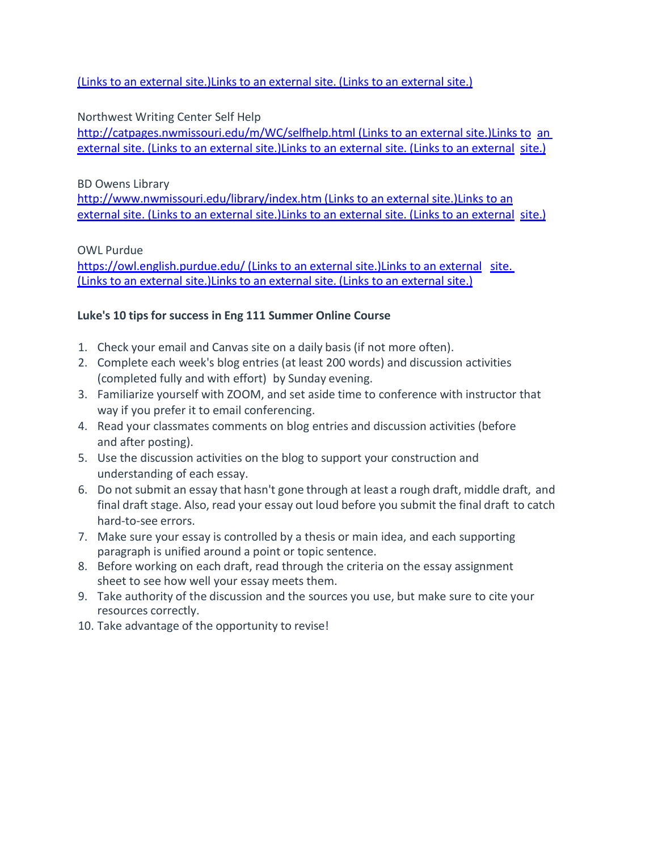(Links to an external [site.\)Links](http://www.nwmissouri.edu/tdc/) to an external site. (Links to an external site.)

# Northwest Writing Center Self Help

<http://catpages.nwmissouri.edu/m/WC/selfhelp.html> (Links to [an](http://catpages.nwmissouri.edu/m/WC/selfhelp.html) external site.)Links to an external site. (Links to an external [site.\)Links to](http://catpages.nwmissouri.edu/m/WC/selfhelp.html) an external site. (Links to an external [site.\)](http://catpages.nwmissouri.edu/m/WC/selfhelp.html)

## BD Owens Library

<http://www.nwmissouri.edu/library/index.htm> (Links to an external site.)Links to an external site. (Links to an external [site.\)](http://www.nwmissouri.edu/library/index.htm) Links to an external site. (Links to an external site.)

OWL Purdue

<https://owl.english.purdue.edu/> (Links to an external site.)Links to an external [site.](https://owl.english.purdue.edu/) (Links to an external site.) Links to an external site. (Links to an external site.)

# **Luke's 10 tipsfor success in Eng 111 Summer Online Course**

- 1. Check your email and Canvas site on a daily basis (if not more often).
- 2. Complete each week's blog entries (at least 200 words) and discussion activities (completed fully and with effort) by Sunday evening.
- 3. Familiarize yourself with ZOOM, and set aside time to conference with instructor that way if you prefer it to email conferencing.
- 4. Read your classmates comments on blog entries and discussion activities (before and after posting).
- 5. Use the discussion activities on the blog to support your construction and understanding of each essay.
- 6. Do not submit an essay that hasn't gone through at least a rough draft, middle draft, and final draft stage. Also, read your essay out loud before you submit the final draft to catch hard-to-see errors.
- 7. Make sure your essay is controlled by a thesis or main idea, and each supporting paragraph is unified around a point or topic sentence.
- 8. Before working on each draft, read through the criteria on the essay assignment sheet to see how well your essay meets them.
- 9. Take authority of the discussion and the sources you use, but make sure to cite your resources correctly.
- 10. Take advantage of the opportunity to revise!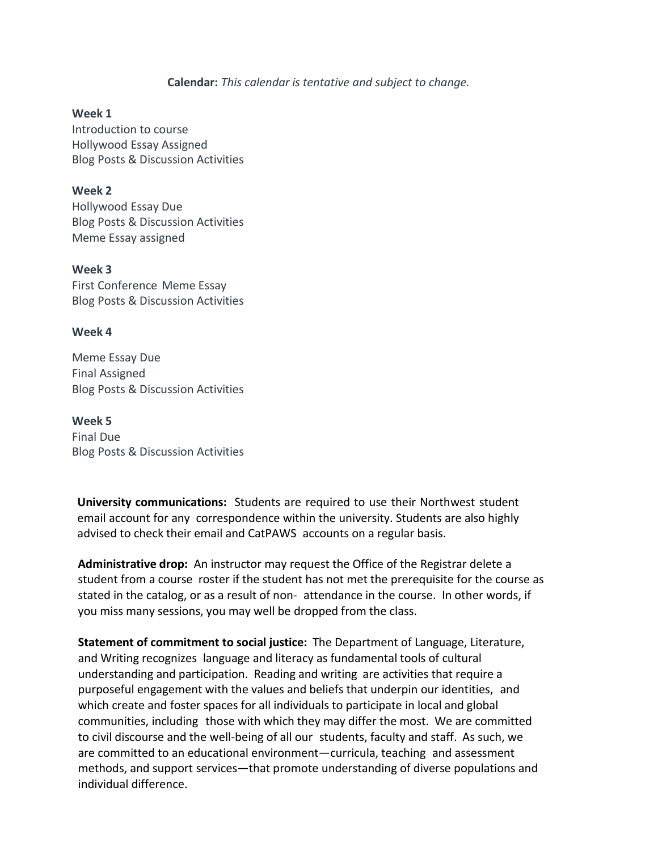**Calendar:** *This calendar is tentative and subject to change.*

#### **Week 1**

Introduction to course Hollywood Essay Assigned Blog Posts & Discussion Activities

#### **Week 2**

Hollywood Essay Due Blog Posts & Discussion Activities Meme Essay assigned

**Week 3** First Conference Meme Essay Blog Posts & Discussion Activities

#### **Week 4**

Meme Essay Due Final Assigned Blog Posts & Discussion Activities

**Week 5** Final Due Blog Posts & Discussion Activities

**University communications:** Students are required to use their Northwest student email account for any correspondence within the university. Students are also highly advised to check their email and CatPAWS accounts on a regular basis.

**Administrative drop:** An instructor may request the Office of the Registrar delete a student from a course roster if the student has not met the prerequisite for the course as stated in the catalog, or as a result of non- attendance in the course. In other words, if you miss many sessions, you may well be dropped from the class.

**Statement of commitment to social justice:** The Department of Language, Literature, and Writing recognizes language and literacy as fundamental tools of cultural understanding and participation. Reading and writing are activities that require a purposeful engagement with the values and beliefs that underpin our identities, and which create and foster spaces for all individuals to participate in local and global communities, including those with which they may differ the most. We are committed to civil discourse and the well-being of all our students, faculty and staff. As such, we are committed to an educational environment—curricula, teaching and assessment methods, and support services—that promote understanding of diverse populations and individual difference.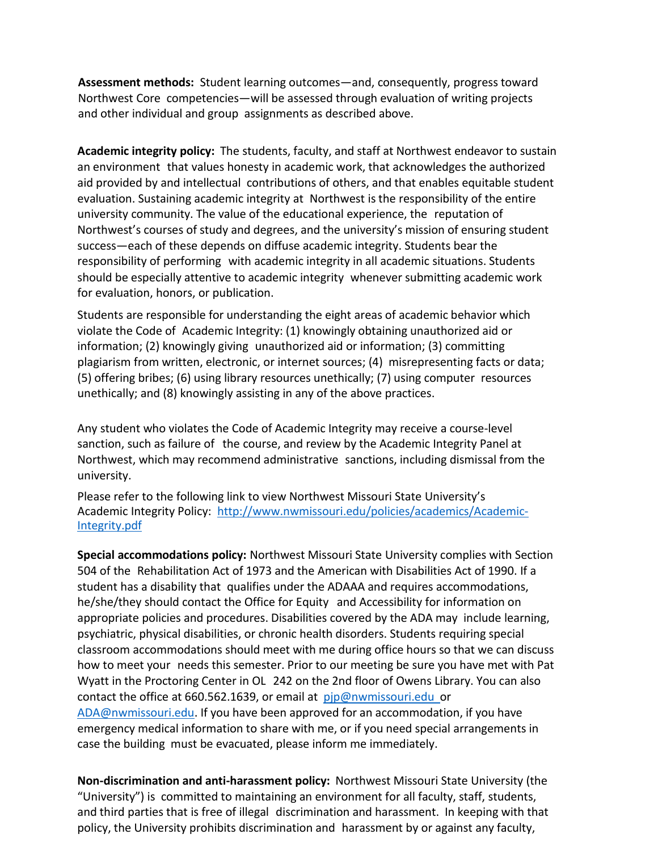**Assessment methods:** Student learning outcomes—and, consequently, progress toward Northwest Core competencies—will be assessed through evaluation of writing projects and other individual and group assignments as described above.

**Academic integrity policy:** The students, faculty, and staff at Northwest endeavor to sustain an environment that values honesty in academic work, that acknowledges the authorized aid provided by and intellectual contributions of others, and that enables equitable student evaluation. Sustaining academic integrity at Northwest is the responsibility of the entire university community. The value of the educational experience, the reputation of Northwest's courses of study and degrees, and the university's mission of ensuring student success—each of these depends on diffuse academic integrity. Students bear the responsibility of performing with academic integrity in all academic situations. Students should be especially attentive to academic integrity whenever submitting academic work for evaluation, honors, or publication.

Students are responsible for understanding the eight areas of academic behavior which violate the Code of Academic Integrity: (1) knowingly obtaining unauthorized aid or information; (2) knowingly giving unauthorized aid or information; (3) committing plagiarism from written, electronic, or internet sources; (4) misrepresenting facts or data; (5) offering bribes; (6) using library resources unethically; (7) using computer resources unethically; and (8) knowingly assisting in any of the above practices.

Any student who violates the Code of Academic Integrity may receive a course-level sanction, such as failure of the course, and review by the Academic Integrity Panel at Northwest, which may recommend administrative sanctions, including dismissal from the university.

Please refer to the following link to view Northwest Missouri State University's Academic Integrity Policy: [http://www.nwmissouri.edu/policies/academics/Academic-](http://www.nwmissouri.edu/policies/academics/Academic-Integrity.pdf)[Integrity.pdf](http://www.nwmissouri.edu/policies/academics/Academic-Integrity.pdf)

**Special accommodations policy:** Northwest Missouri State University complies with Section 504 of the Rehabilitation Act of 1973 and the American with Disabilities Act of 1990. If a student has a disability that qualifies under the ADAAA and requires accommodations, he/she/they should contact the Office for Equity and Accessibility for information on appropriate policies and procedures. Disabilities covered by the ADA may include learning, psychiatric, physical disabilities, or chronic health disorders. Students requiring special classroom accommodations should meet with me during office hours so that we can discuss how to meet your needs this semester. Prior to our meeting be sure you have met with Pat Wyatt in the Proctoring Center in OL 242 on the 2nd floor of Owens Library. You can also contact the office at 660.562.1639, or email at [pjp@nwmissouri.edu](mailto:pjp@nwmissouri.edu) or [ADA@nwmissouri.edu.](mailto:ADA@nwmissouri.edu) If you have been approved for an accommodation, if you have emergency medical information to share with me, or if you need special arrangements in case the building must be evacuated, please inform me immediately.

**Non-discrimination and anti-harassment policy:** Northwest Missouri State University (the "University") is committed to maintaining an environment for all faculty, staff, students, and third parties that is free of illegal discrimination and harassment. In keeping with that policy, the University prohibits discrimination and harassment by or against any faculty,